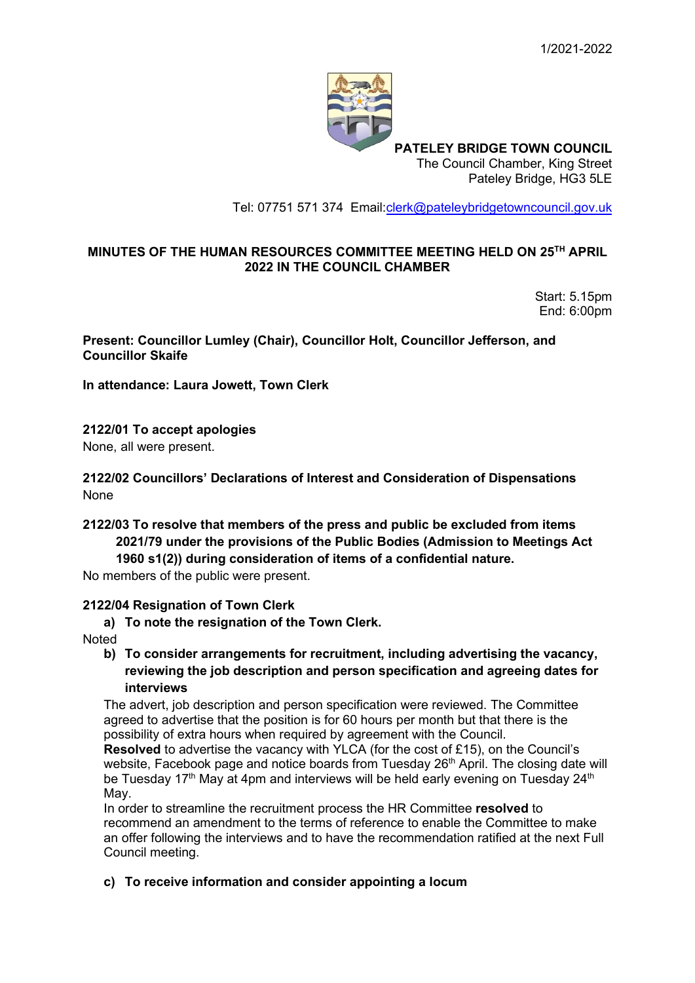

**PATELEY BRIDGE TOWN COUNCIL** The Council Chamber, King Street Pateley Bridge, HG3 5LE

Tel: 07751 571 374 Email[:clerk@pateleybridgetowncouncil.gov.uk](mailto:clerk@pateleybridgetowncouncil.gov.uk)

#### **MINUTES OF THE HUMAN RESOURCES COMMITTEE MEETING HELD ON 25TH APRIL 2022 IN THE COUNCIL CHAMBER**

Start: 5.15pm End: 6:00pm

**Present: Councillor Lumley (Chair), Councillor Holt, Councillor Jefferson, and Councillor Skaife**

**In attendance: Laura Jowett, Town Clerk**

**2122/01 To accept apologies**  None, all were present.

**2122/02 Councillors' Declarations of Interest and Consideration of Dispensations** None

# **2122/03 To resolve that members of the press and public be excluded from items 2021/79 under the provisions of the Public Bodies (Admission to Meetings Act 1960 s1(2)) during consideration of items of a confidential nature.**

No members of the public were present.

#### **2122/04 Resignation of Town Clerk**

**a) To note the resignation of the Town Clerk.** 

**Noted** 

### **b) To consider arrangements for recruitment, including advertising the vacancy, reviewing the job description and person specification and agreeing dates for interviews**

The advert, job description and person specification were reviewed. The Committee agreed to advertise that the position is for 60 hours per month but that there is the possibility of extra hours when required by agreement with the Council.

**Resolved** to advertise the vacancy with YLCA (for the cost of £15), on the Council's website, Facebook page and notice boards from Tuesday  $26<sup>th</sup>$  April. The closing date will be Tuesday 17<sup>th</sup> May at 4pm and interviews will be held early evening on Tuesday  $24<sup>th</sup>$ May.

In order to streamline the recruitment process the HR Committee **resolved** to recommend an amendment to the terms of reference to enable the Committee to make an offer following the interviews and to have the recommendation ratified at the next Full Council meeting.

**c) To receive information and consider appointing a locum**